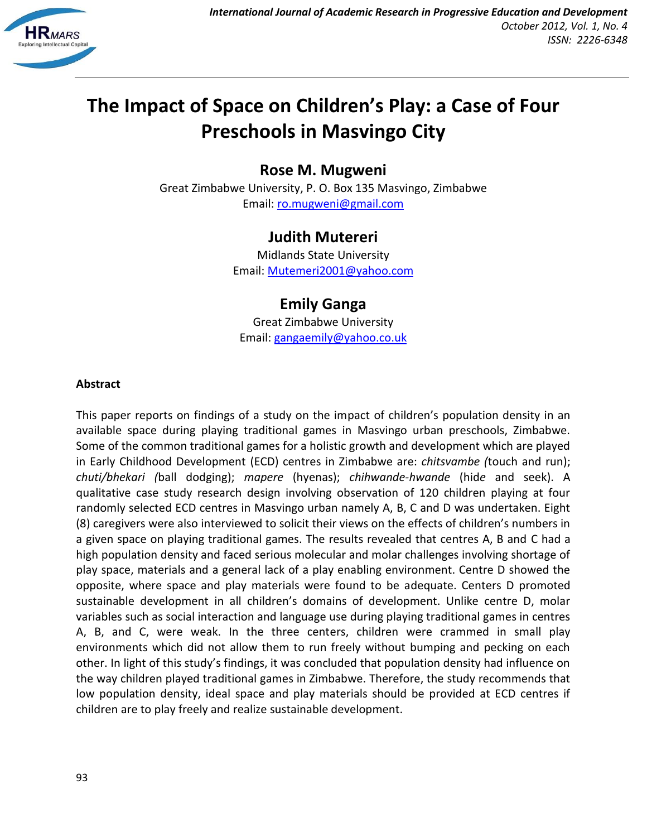

# **The Impact of Space on Children's Play: a Case of Four Preschools in Masvingo City**

**Rose M. Mugweni**

Great Zimbabwe University, P. O. Box 135 Masvingo, Zimbabwe Email: [ro.mugweni@gmail.com](mailto:ro.mugweni@gmail.com)

## **Judith Mutereri**

Midlands State University Email: [Mutemeri2001@yahoo.com](mailto:Mutemeri2001@yahoo.com)

**Emily Ganga** Great Zimbabwe University Email: [gangaemily@yahoo.co.uk](mailto:gangaemily@yahoo.co.uk)

## **Abstract**

This paper reports on findings of a study on the impact of children's population density in an available space during playing traditional games in Masvingo urban preschools, Zimbabwe. Some of the common traditional games for a holistic growth and development which are played in Early Childhood Development (ECD) centres in Zimbabwe are: *chitsvambe (*touch and run); *chuti/bhekari (*ball dodging); *mapere* (hyenas); *chihwande-hwande* (hid*e* and seek). A qualitative case study research design involving observation of 120 children playing at four randomly selected ECD centres in Masvingo urban namely A, B, C and D was undertaken. Eight (8) caregivers were also interviewed to solicit their views on the effects of children's numbers in a given space on playing traditional games. The results revealed that centres A, B and C had a high population density and faced serious molecular and molar challenges involving shortage of play space, materials and a general lack of a play enabling environment. Centre D showed the opposite, where space and play materials were found to be adequate. Centers D promoted sustainable development in all children's domains of development. Unlike centre D, molar variables such as social interaction and language use during playing traditional games in centres A, B, and C, were weak. In the three centers, children were crammed in small play environments which did not allow them to run freely without bumping and pecking on each other. In light of this study's findings, it was concluded that population density had influence on the way children played traditional games in Zimbabwe. Therefore, the study recommends that low population density, ideal space and play materials should be provided at ECD centres if children are to play freely and realize sustainable development.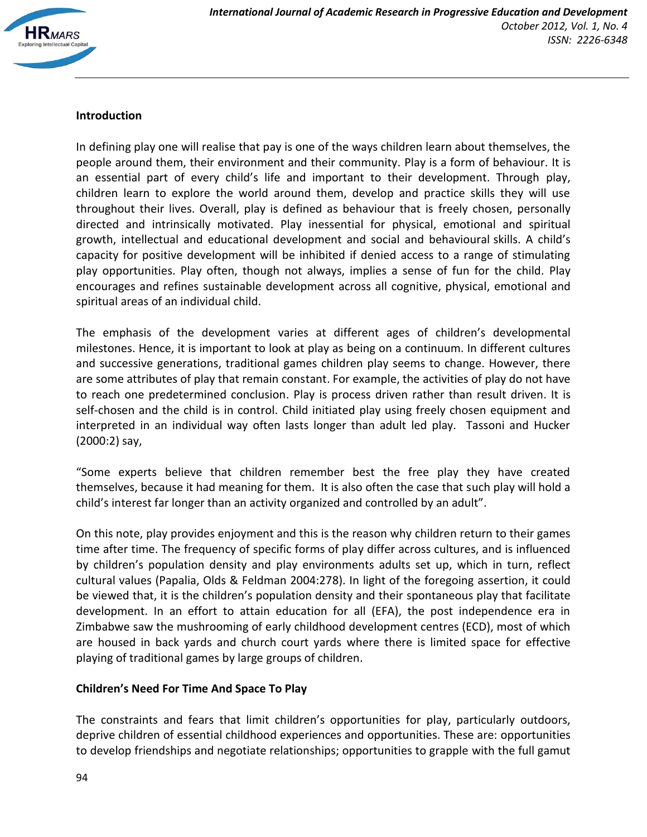

## **Introduction**

In defining play one will realise that pay is one of the ways children learn about themselves, the people around them, their environment and their community. Play is a form of behaviour. It is an essential part of every child's life and important to their development. Through play, children learn to explore the world around them, develop and practice skills they will use throughout their lives. Overall, play is defined as behaviour that is freely chosen, personally directed and intrinsically motivated. Play inessential for physical, emotional and spiritual growth, intellectual and educational development and social and behavioural skills. A child's capacity for positive development will be inhibited if denied access to a range of stimulating play opportunities. Play often, though not always, implies a sense of fun for the child. Play encourages and refines sustainable development across all cognitive, physical, emotional and spiritual areas of an individual child.

The emphasis of the development varies at different ages of children's developmental milestones. Hence, it is important to look at play as being on a continuum. In different cultures and successive generations, traditional games children play seems to change. However, there are some attributes of play that remain constant. For example, the activities of play do not have to reach one predetermined conclusion. Play is process driven rather than result driven. It is self-chosen and the child is in control. Child initiated play using freely chosen equipment and interpreted in an individual way often lasts longer than adult led play. Tassoni and Hucker (2000:2) say,

"Some experts believe that children remember best the free play they have created themselves, because it had meaning for them. It is also often the case that such play will hold a child's interest far longer than an activity organized and controlled by an adult"*.*

On this note, play provides enjoyment and this is the reason why children return to their games time after time. The frequency of specific forms of play differ across cultures, and is influenced by children's population density and play environments adults set up, which in turn, reflect cultural values (Papalia, Olds & Feldman 2004:278). In light of the foregoing assertion, it could be viewed that, it is the children's population density and their spontaneous play that facilitate development. In an effort to attain education for all (EFA), the post independence era in Zimbabwe saw the mushrooming of early childhood development centres (ECD), most of which are housed in back yards and church court yards where there is limited space for effective playing of traditional games by large groups of children.

## **Children's Need For Time And Space To Play**

The constraints and fears that limit children's opportunities for play, particularly outdoors, deprive children of essential childhood experiences and opportunities. These are: opportunities to develop friendships and negotiate relationships; opportunities to grapple with the full gamut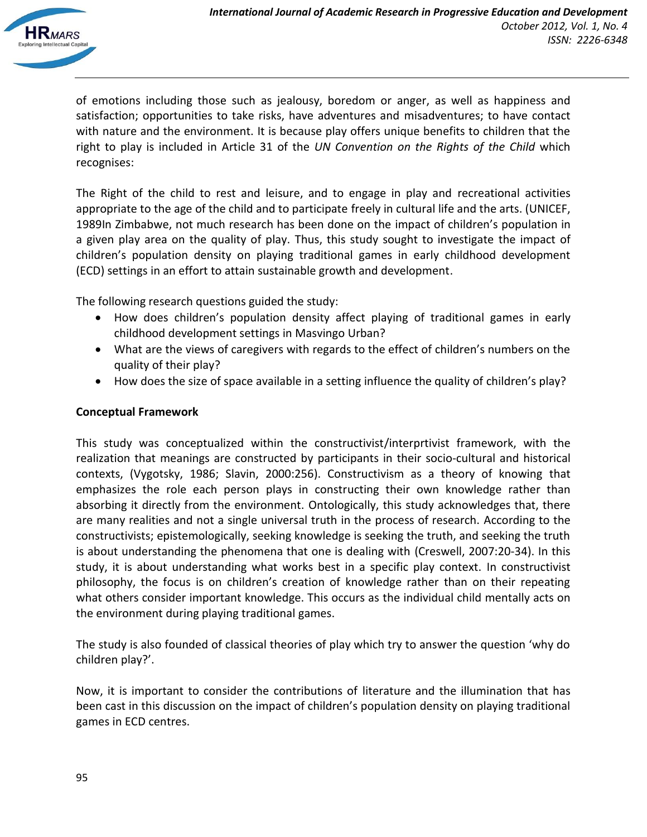

of emotions including those such as jealousy, boredom or anger, as well as happiness and satisfaction; opportunities to take risks, have adventures and misadventures; to have contact with nature and the environment. It is because play offers unique benefits to children that the right to play is included in Article 31 of the *UN Convention on the Rights of the Child* which recognises:

The Right of the child to rest and leisure, and to engage in play and recreational activities appropriate to the age of the child and to participate freely in cultural life and the arts. (UNICEF, 1989In Zimbabwe, not much research has been done on the impact of children's population in a given play area on the quality of play. Thus, this study sought to investigate the impact of children's population density on playing traditional games in early childhood development (ECD) settings in an effort to attain sustainable growth and development.

The following research questions guided the study:

- How does children's population density affect playing of traditional games in early childhood development settings in Masvingo Urban?
- What are the views of caregivers with regards to the effect of children's numbers on the quality of their play?
- How does the size of space available in a setting influence the quality of children's play?

## **Conceptual Framework**

This study was conceptualized within the constructivist/interprtivist framework, with the realization that meanings are constructed by participants in their socio-cultural and historical contexts, (Vygotsky, 1986; Slavin, 2000:256). Constructivism as a theory of knowing that emphasizes the role each person plays in constructing their own knowledge rather than absorbing it directly from the environment. Ontologically, this study acknowledges that, there are many realities and not a single universal truth in the process of research. According to the constructivists; epistemologically, seeking knowledge is seeking the truth, and seeking the truth is about understanding the phenomena that one is dealing with (Creswell, 2007:20-34). In this study, it is about understanding what works best in a specific play context. In constructivist philosophy, the focus is on children's creation of knowledge rather than on their repeating what others consider important knowledge. This occurs as the individual child mentally acts on the environment during playing traditional games.

The study is also founded of classical theories of play which try to answer the question 'why do children play?'.

Now, it is important to consider the contributions of literature and the illumination that has been cast in this discussion on the impact of children's population density on playing traditional games in ECD centres.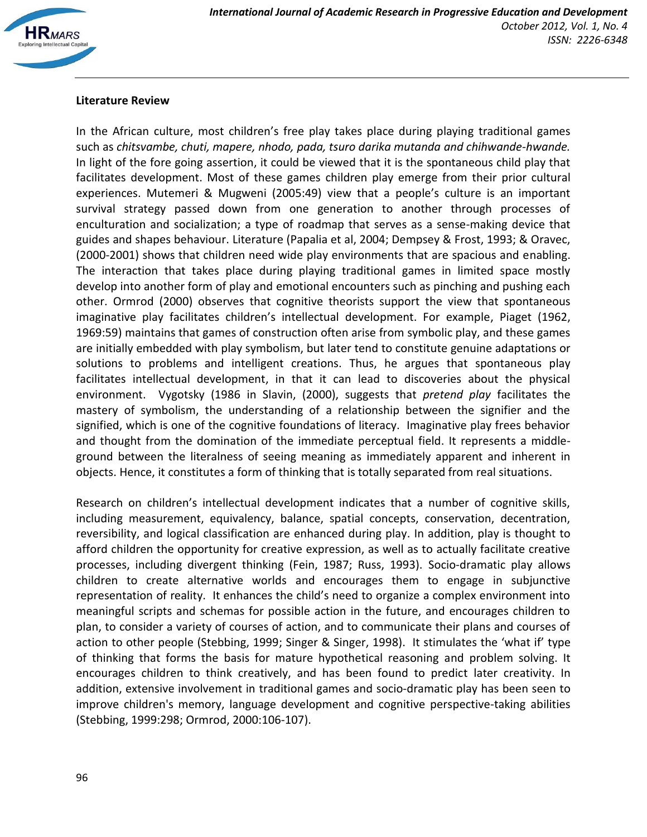

## **Literature Review**

In the African culture, most children's free play takes place during playing traditional games such as *chitsvambe, chuti, mapere, nhodo, pada, tsuro darika mutanda and chihwande-hwande.* In light of the fore going assertion, it could be viewed that it is the spontaneous child play that facilitates development. Most of these games children play emerge from their prior cultural experiences. Mutemeri & Mugweni (2005:49) view that a people's culture is an important survival strategy passed down from one generation to another through processes of enculturation and socialization; a type of roadmap that serves as a sense-making device that guides and shapes behaviour. Literature (Papalia et al, 2004; Dempsey & Frost, 1993; & Oravec, (2000-2001) shows that children need wide play environments that are spacious and enabling. The interaction that takes place during playing traditional games in limited space mostly develop into another form of play and emotional encounters such as pinching and pushing each other. Ormrod (2000) observes that cognitive theorists support the view that spontaneous imaginative play facilitates children's intellectual development. For example, Piaget (1962, 1969:59) maintains that games of construction often arise from symbolic play, and these games are initially embedded with play symbolism, but later tend to constitute genuine adaptations or solutions to problems and intelligent creations. Thus, he argues that spontaneous play facilitates intellectual development, in that it can lead to discoveries about the physical environment. Vygotsky (1986 in Slavin, (2000), suggests that *pretend play* facilitates the mastery of symbolism, the understanding of a relationship between the signifier and the signified, which is one of the cognitive foundations of literacy. Imaginative play frees behavior and thought from the domination of the immediate perceptual field. It represents a middleground between the literalness of seeing meaning as immediately apparent and inherent in objects. Hence, it constitutes a form of thinking that is totally separated from real situations.

Research on children's intellectual development indicates that a number of cognitive skills, including measurement, equivalency, balance, spatial concepts, conservation, decentration, reversibility, and logical classification are enhanced during play. In addition, play is thought to afford children the opportunity for creative expression, as well as to actually facilitate creative processes, including divergent thinking (Fein, 1987; Russ, 1993). Socio-dramatic play allows children to create alternative worlds and encourages them to engage in subjunctive representation of reality. It enhances the child's need to organize a complex environment into meaningful scripts and schemas for possible action in the future, and encourages children to plan, to consider a variety of courses of action, and to communicate their plans and courses of action to other people (Stebbing, 1999; Singer & Singer, 1998). It stimulates the 'what if' type of thinking that forms the basis for mature hypothetical reasoning and problem solving. It encourages children to think creatively, and has been found to predict later creativity. In addition, extensive involvement in traditional games and socio-dramatic play has been seen to improve children's memory, language development and cognitive perspective-taking abilities (Stebbing, 1999:298; Ormrod, 2000:106-107).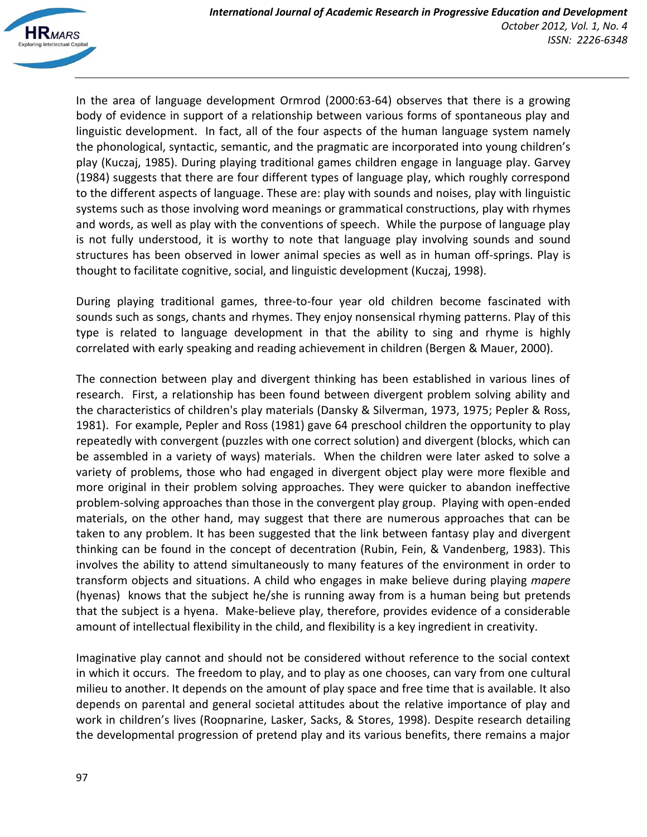

In the area of language development Ormrod (2000:63-64) observes that there is a growing body of evidence in support of a relationship between various forms of spontaneous play and linguistic development. In fact, all of the four aspects of the human language system namely the phonological, syntactic, semantic, and the pragmatic are incorporated into young children's play (Kuczaj, 1985). During playing traditional games children engage in language play. Garvey (1984) suggests that there are four different types of language play, which roughly correspond to the different aspects of language. These are: play with sounds and noises, play with linguistic systems such as those involving word meanings or grammatical constructions, play with rhymes and words, as well as play with the conventions of speech. While the purpose of language play is not fully understood, it is worthy to note that language play involving sounds and sound structures has been observed in lower animal species as well as in human off-springs. Play is thought to facilitate cognitive, social, and linguistic development (Kuczaj, 1998).

During playing traditional games, three-to-four year old children become fascinated with sounds such as songs, chants and rhymes. They enjoy nonsensical rhyming patterns. Play of this type is related to language development in that the ability to sing and rhyme is highly correlated with early speaking and reading achievement in children (Bergen & Mauer, 2000).

The connection between play and divergent thinking has been established in various lines of research. First, a relationship has been found between divergent problem solving ability and the characteristics of children's play materials (Dansky & Silverman, 1973, 1975; Pepler & Ross, 1981). For example, Pepler and Ross (1981) gave 64 preschool children the opportunity to play repeatedly with convergent (puzzles with one correct solution) and divergent (blocks, which can be assembled in a variety of ways) materials. When the children were later asked to solve a variety of problems, those who had engaged in divergent object play were more flexible and more original in their problem solving approaches. They were quicker to abandon ineffective problem-solving approaches than those in the convergent play group. Playing with open-ended materials, on the other hand, may suggest that there are numerous approaches that can be taken to any problem. It has been suggested that the link between fantasy play and divergent thinking can be found in the concept of decentration (Rubin, Fein, & Vandenberg, 1983). This involves the ability to attend simultaneously to many features of the environment in order to transform objects and situations. A child who engages in make believe during playing *mapere* (hyenas) knows that the subject he/she is running away from is a human being but pretends that the subject is a hyena. Make-believe play, therefore, provides evidence of a considerable amount of intellectual flexibility in the child, and flexibility is a key ingredient in creativity.

Imaginative play cannot and should not be considered without reference to the social context in which it occurs. The freedom to play, and to play as one chooses, can vary from one cultural milieu to another. It depends on the amount of play space and free time that is available. It also depends on parental and general societal attitudes about the relative importance of play and work in children's lives (Roopnarine, Lasker, Sacks, & Stores, 1998). Despite research detailing the developmental progression of pretend play and its various benefits, there remains a major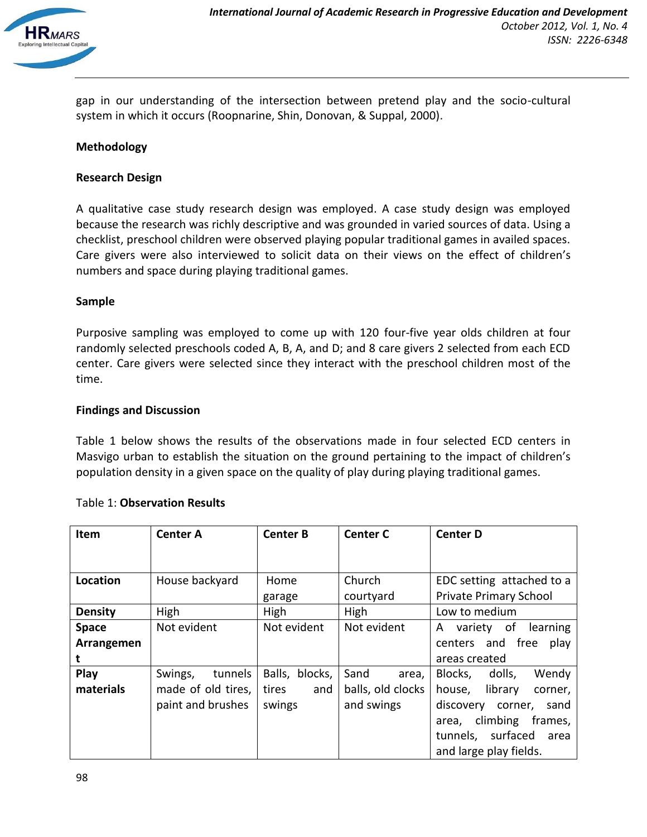

gap in our understanding of the intersection between pretend play and the socio-cultural system in which it occurs (Roopnarine, Shin, Donovan, & Suppal, 2000).

#### **Methodology**

#### **Research Design**

A qualitative case study research design was employed. A case study design was employed because the research was richly descriptive and was grounded in varied sources of data. Using a checklist, preschool children were observed playing popular traditional games in availed spaces. Care givers were also interviewed to solicit data on their views on the effect of children's numbers and space during playing traditional games.

#### **Sample**

Purposive sampling was employed to come up with 120 four-five year olds children at four randomly selected preschools coded A, B, A, and D; and 8 care givers 2 selected from each ECD center. Care givers were selected since they interact with the preschool children most of the time.

#### **Findings and Discussion**

Table 1 below shows the results of the observations made in four selected ECD centers in Masvigo urban to establish the situation on the ground pertaining to the impact of children's population density in a given space on the quality of play during playing traditional games.

| <b>Item</b>    | <b>Center A</b>    | <b>Center B</b> | <b>Center C</b>   | <b>Center D</b>              |
|----------------|--------------------|-----------------|-------------------|------------------------------|
|                |                    |                 |                   |                              |
|                |                    |                 |                   |                              |
| Location       | House backyard     | Home            | Church            | EDC setting attached to a    |
|                |                    | garage          | courtyard         | Private Primary School       |
| <b>Density</b> | High               | High            | High              | Low to medium                |
| <b>Space</b>   | Not evident        | Not evident     | Not evident       | variety of<br>learning<br>A  |
| Arrangemen     |                    |                 |                   | centers and free<br>play     |
|                |                    |                 |                   | areas created                |
| Play           | Swings,<br>tunnels | Balls, blocks,  | Sand<br>area,     | Blocks,<br>dolls,<br>Wendy   |
| materials      | made of old tires, | tires<br>and    | balls, old clocks | library<br>house,<br>corner, |
|                | paint and brushes  | swings          | and swings        | discovery<br>corner.<br>sand |
|                |                    |                 |                   | climbing<br>frames,<br>area, |
|                |                    |                 |                   | surfaced<br>tunnels,<br>area |
|                |                    |                 |                   | and large play fields.       |

## Table 1: **Observation Results**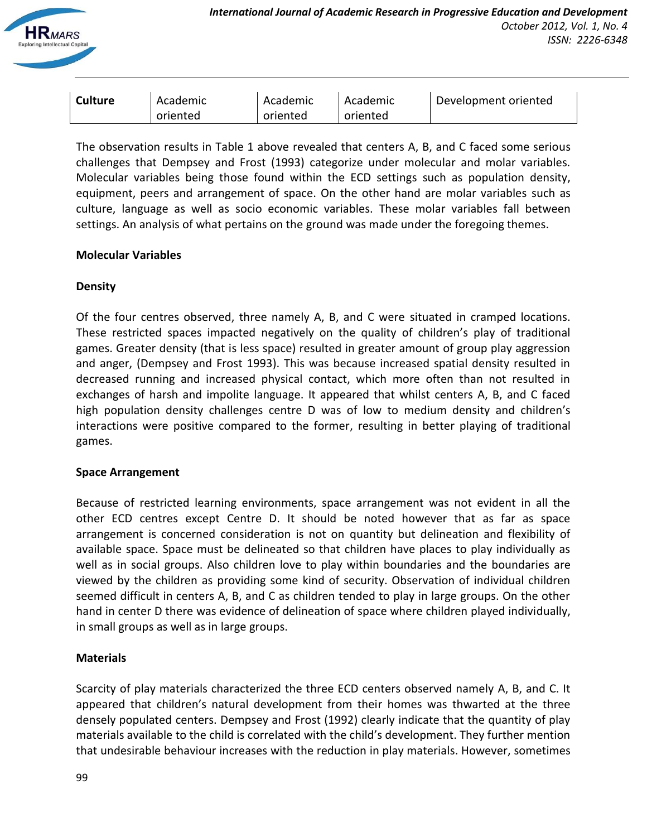

| <b>Culture</b> | Academic | Academic | Academic | Development oriented |
|----------------|----------|----------|----------|----------------------|
|                | oriented | oriented | oriented |                      |

The observation results in Table 1 above revealed that centers A, B, and C faced some serious challenges that Dempsey and Frost (1993) categorize under molecular and molar variables. Molecular variables being those found within the ECD settings such as population density, equipment, peers and arrangement of space. On the other hand are molar variables such as culture, language as well as socio economic variables. These molar variables fall between settings. An analysis of what pertains on the ground was made under the foregoing themes.

## **Molecular Variables**

## **Density**

Of the four centres observed, three namely A, B, and C were situated in cramped locations. These restricted spaces impacted negatively on the quality of children's play of traditional games. Greater density (that is less space) resulted in greater amount of group play aggression and anger, (Dempsey and Frost 1993). This was because increased spatial density resulted in decreased running and increased physical contact, which more often than not resulted in exchanges of harsh and impolite language. It appeared that whilst centers A, B, and C faced high population density challenges centre D was of low to medium density and children's interactions were positive compared to the former, resulting in better playing of traditional games.

## **Space Arrangement**

Because of restricted learning environments, space arrangement was not evident in all the other ECD centres except Centre D. It should be noted however that as far as space arrangement is concerned consideration is not on quantity but delineation and flexibility of available space. Space must be delineated so that children have places to play individually as well as in social groups. Also children love to play within boundaries and the boundaries are viewed by the children as providing some kind of security. Observation of individual children seemed difficult in centers A, B, and C as children tended to play in large groups. On the other hand in center D there was evidence of delineation of space where children played individually, in small groups as well as in large groups.

## **Materials**

Scarcity of play materials characterized the three ECD centers observed namely A, B, and C. It appeared that children's natural development from their homes was thwarted at the three densely populated centers. Dempsey and Frost (1992) clearly indicate that the quantity of play materials available to the child is correlated with the child's development. They further mention that undesirable behaviour increases with the reduction in play materials. However, sometimes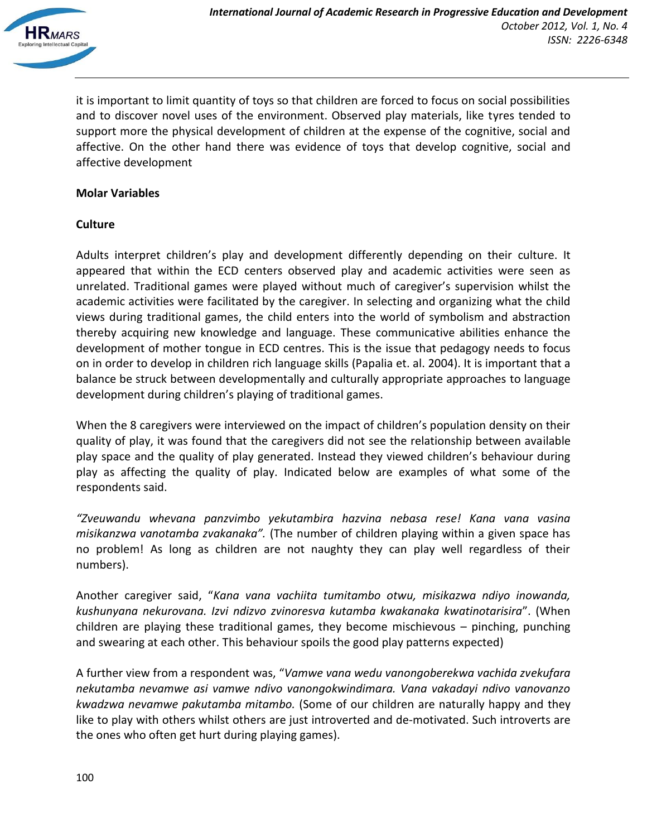

it is important to limit quantity of toys so that children are forced to focus on social possibilities and to discover novel uses of the environment. Observed play materials, like tyres tended to support more the physical development of children at the expense of the cognitive, social and affective. On the other hand there was evidence of toys that develop cognitive, social and affective development

## **Molar Variables**

## **Culture**

Adults interpret children's play and development differently depending on their culture. It appeared that within the ECD centers observed play and academic activities were seen as unrelated. Traditional games were played without much of caregiver's supervision whilst the academic activities were facilitated by the caregiver. In selecting and organizing what the child views during traditional games, the child enters into the world of symbolism and abstraction thereby acquiring new knowledge and language. These communicative abilities enhance the development of mother tongue in ECD centres. This is the issue that pedagogy needs to focus on in order to develop in children rich language skills (Papalia et. al. 2004). It is important that a balance be struck between developmentally and culturally appropriate approaches to language development during children's playing of traditional games.

When the 8 caregivers were interviewed on the impact of children's population density on their quality of play, it was found that the caregivers did not see the relationship between available play space and the quality of play generated. Instead they viewed children's behaviour during play as affecting the quality of play. Indicated below are examples of what some of the respondents said.

*"Zveuwandu whevana panzvimbo yekutambira hazvina nebasa rese! Kana vana vasina misikanzwa vanotamba zvakanaka".* (The number of children playing within a given space has no problem! As long as children are not naughty they can play well regardless of their numbers).

Another caregiver said, "*Kana vana vachiita tumitambo otwu, misikazwa ndiyo inowanda, kushunyana nekurovana. Izvi ndizvo zvinoresva kutamba kwakanaka kwatinotarisira*". (When children are playing these traditional games, they become mischievous – pinching, punching and swearing at each other. This behaviour spoils the good play patterns expected)

A further view from a respondent was, "*Vamwe vana wedu vanongoberekwa vachida zvekufara nekutamba nevamwe asi vamwe ndivo vanongokwindimara. Vana vakadayi ndivo vanovanzo kwadzwa nevamwe pakutamba mitambo.* (Some of our children are naturally happy and they like to play with others whilst others are just introverted and de-motivated. Such introverts are the ones who often get hurt during playing games).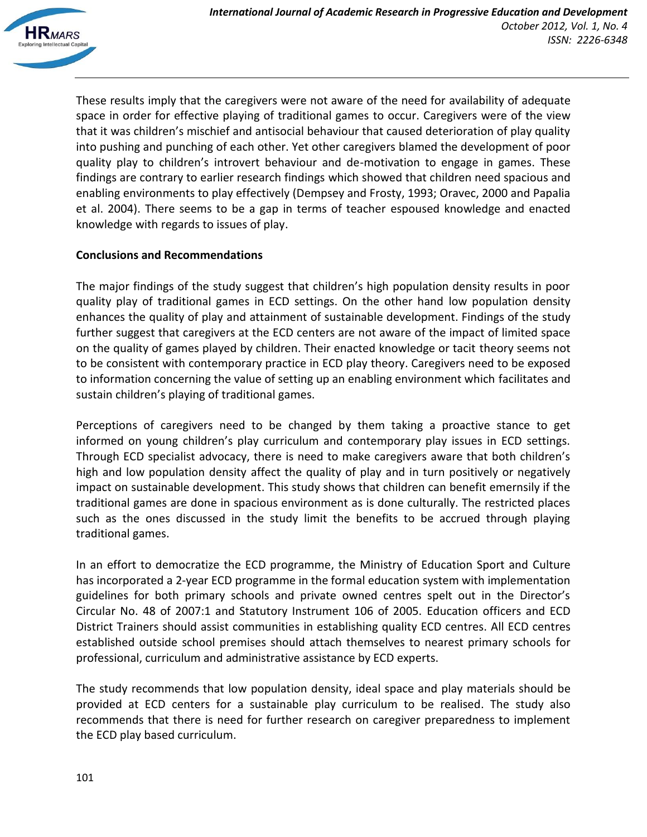

These results imply that the caregivers were not aware of the need for availability of adequate space in order for effective playing of traditional games to occur. Caregivers were of the view that it was children's mischief and antisocial behaviour that caused deterioration of play quality into pushing and punching of each other. Yet other caregivers blamed the development of poor quality play to children's introvert behaviour and de-motivation to engage in games. These findings are contrary to earlier research findings which showed that children need spacious and enabling environments to play effectively (Dempsey and Frosty, 1993; Oravec, 2000 and Papalia et al. 2004). There seems to be a gap in terms of teacher espoused knowledge and enacted knowledge with regards to issues of play.

## **Conclusions and Recommendations**

The major findings of the study suggest that children's high population density results in poor quality play of traditional games in ECD settings. On the other hand low population density enhances the quality of play and attainment of sustainable development. Findings of the study further suggest that caregivers at the ECD centers are not aware of the impact of limited space on the quality of games played by children. Their enacted knowledge or tacit theory seems not to be consistent with contemporary practice in ECD play theory. Caregivers need to be exposed to information concerning the value of setting up an enabling environment which facilitates and sustain children's playing of traditional games.

Perceptions of caregivers need to be changed by them taking a proactive stance to get informed on young children's play curriculum and contemporary play issues in ECD settings. Through ECD specialist advocacy, there is need to make caregivers aware that both children's high and low population density affect the quality of play and in turn positively or negatively impact on sustainable development. This study shows that children can benefit emernsily if the traditional games are done in spacious environment as is done culturally. The restricted places such as the ones discussed in the study limit the benefits to be accrued through playing traditional games.

In an effort to democratize the ECD programme, the Ministry of Education Sport and Culture has incorporated a 2-year ECD programme in the formal education system with implementation guidelines for both primary schools and private owned centres spelt out in the Director's Circular No. 48 of 2007:1 and Statutory Instrument 106 of 2005. Education officers and ECD District Trainers should assist communities in establishing quality ECD centres. All ECD centres established outside school premises should attach themselves to nearest primary schools for professional, curriculum and administrative assistance by ECD experts.

The study recommends that low population density, ideal space and play materials should be provided at ECD centers for a sustainable play curriculum to be realised. The study also recommends that there is need for further research on caregiver preparedness to implement the ECD play based curriculum.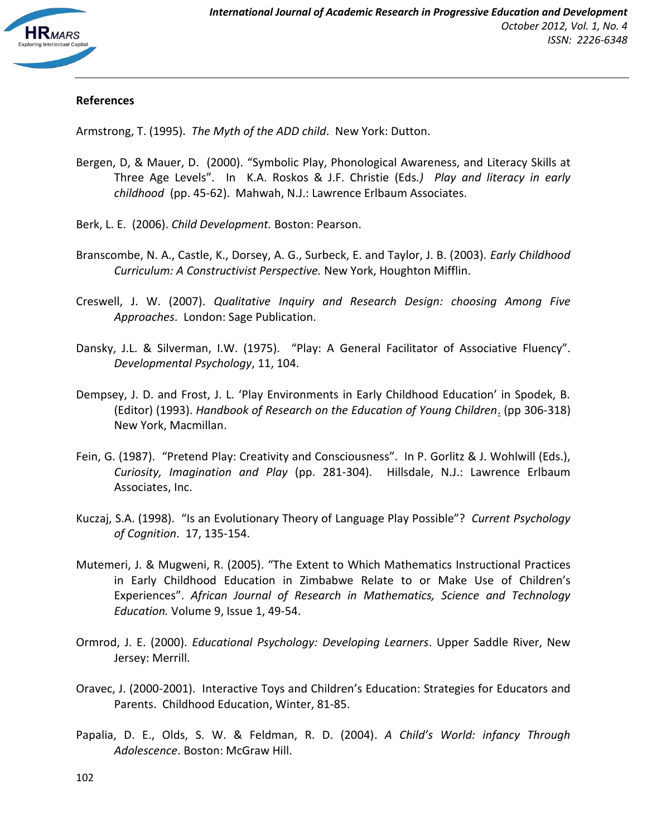

## **References**

Armstrong, T. (1995). *The Myth of the ADD child*. New York: Dutton.

- Bergen, D, & Mauer, D. (2000). "Symbolic Play, Phonological Awareness, and Literacy Skills at Three Age Levels". In K.A. Roskos & J.F. Christie (Eds*.) Play and literacy in early childhood* (pp. 45-62). Mahwah, N.J.: Lawrence Erlbaum Associates.
- Berk, L. E. (2006). *Child Development.* Boston: Pearson.
- Branscombe, N. A., Castle, K., Dorsey, A. G., Surbeck, E. and Taylor, J. B. (2003). *Early Childhood Curriculum: A Constructivist Perspective.* New York, Houghton Mifflin.
- Creswell, J. W. (2007). *Qualitative Inquiry and Research Design: choosing Among Five Approaches*. London: Sage Publication.
- Dansky, J.L. & Silverman, I.W. (1975). "Play: A General Facilitator of Associative Fluency". *Developmental Psychology*, 11, 104.
- Dempsey, J. D. and Frost, J. L. 'Play Environments in Early Childhood Education' in Spodek, B. (Editor) (1993). *Handbook of Research on the Education of Young Children*. (pp 306-318) New York, Macmillan.
- Fein, G. (1987). "Pretend Play: Creativity and Consciousness". In P. Gorlitz & J. Wohlwill (Eds.), *Curiosity, Imagination and Play* (pp. 281-304). Hillsdale, N.J.: Lawrence Erlbaum Associates, Inc.
- Kuczaj, S.A. (1998). "Is an Evolutionary Theory of Language Play Possible"? *Current Psychology of Cognition*. 17, 135-154.
- Mutemeri, J. & Mugweni, R. (2005). "The Extent to Which Mathematics Instructional Practices in Early Childhood Education in Zimbabwe Relate to or Make Use of Children's Experiences". *African Journal of Research in Mathematics, Science and Technology Education.* Volume 9, Issue 1, 49-54.
- Ormrod, J. E. (2000). *Educational Psychology: Developing Learners*. Upper Saddle River, New Jersey: Merrill.
- Oravec, J. (2000-2001). Interactive Toys and Children's Education: Strategies for Educators and Parents. Childhood Education, Winter, 81-85.
- Papalia, D. E., Olds, S. W. & Feldman, R. D. (2004). *A Child's World: infancy Through Adolescence*. Boston: McGraw Hill.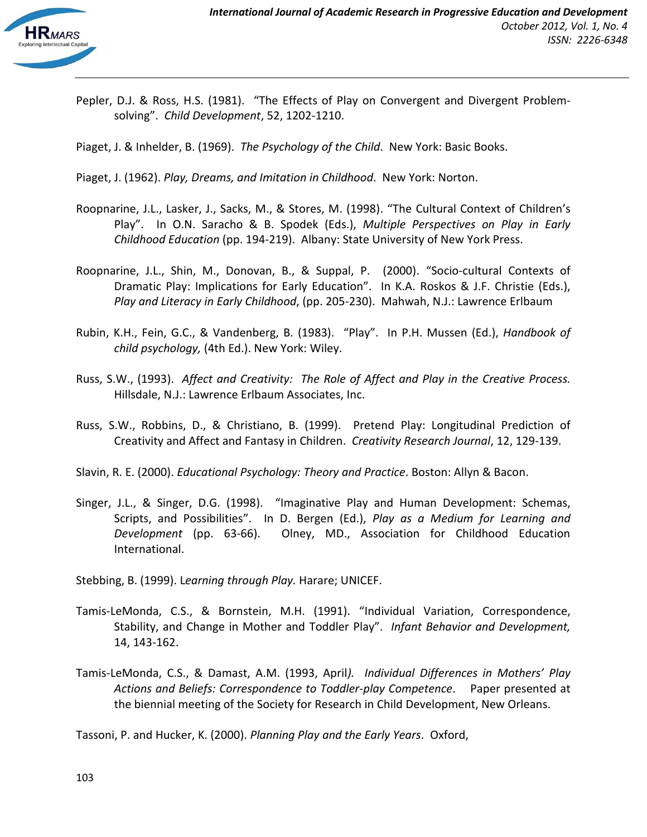Pepler, D.J. & Ross, H.S. (1981). "The Effects of Play on Convergent and Divergent Problemsolving". *Child Development*, 52, 1202-1210.

Piaget, J. & Inhelder, B. (1969). *The Psychology of the Child*. New York: Basic Books.

Piaget, J. (1962). *Play, Dreams, and Imitation in Childhood*. New York: Norton.

- Roopnarine, J.L., Lasker, J., Sacks, M., & Stores, M. (1998). "The Cultural Context of Children's Play". In O.N. Saracho & B. Spodek (Eds.), *Multiple Perspectives on Play in Early Childhood Education* (pp. 194-219). Albany: State University of New York Press.
- Roopnarine, J.L., Shin, M., Donovan, B., & Suppal, P. (2000). "Socio-cultural Contexts of Dramatic Play: Implications for Early Education". In K.A. Roskos & J.F. Christie (Eds.), *Play and Literacy in Early Childhood*, (pp. 205-230). Mahwah, N.J.: Lawrence Erlbaum
- Rubin, K.H., Fein, G.C., & Vandenberg, B. (1983). "Play". In P.H. Mussen (Ed.), *Handbook of child psychology,* (4th Ed.). New York: Wiley.
- Russ, S.W., (1993). *Affect and Creativity: The Role of Affect and Play in the Creative Process.* Hillsdale, N.J.: Lawrence Erlbaum Associates, Inc.
- Russ, S.W., Robbins, D., & Christiano, B. (1999). Pretend Play: Longitudinal Prediction of Creativity and Affect and Fantasy in Children. *Creativity Research Journal*, 12, 129-139.
- Slavin, R. E. (2000). *Educational Psychology: Theory and Practice*. Boston: Allyn & Bacon.
- Singer, J.L., & Singer, D.G. (1998). "Imaginative Play and Human Development: Schemas, Scripts, and Possibilities". In D. Bergen (Ed.), *Play as a Medium for Learning and Development* (pp. 63-66). Olney, MD., Association for Childhood Education International.
- Stebbing, B. (1999). L*earning through Play.* Harare; UNICEF.
- Tamis-LeMonda, C.S., & Bornstein, M.H. (1991). "Individual Variation, Correspondence, Stability, and Change in Mother and Toddler Play". *Infant Behavior and Development,*  14, 143-162.
- Tamis-LeMonda, C.S., & Damast, A.M. (1993, April*). Individual Differences in Mothers' Play Actions and Beliefs: Correspondence to Toddler-play Competence*. Paper presented at the biennial meeting of the Society for Research in Child Development, New Orleans.

Tassoni, P. and Hucker, K. (2000). *Planning Play and the Early Years*. Oxford,